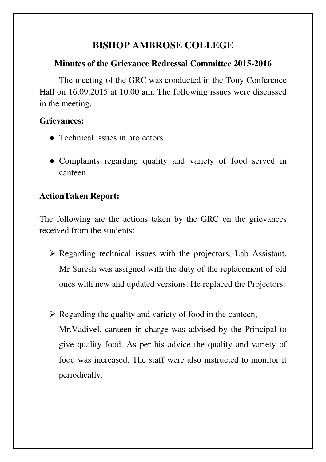# **BISHOP AMBROSE COLLEGE**

#### **Minutes of the Grievance Redressal Committee 2015-2016**

The meeting of the GRC was conducted in the Tony Conference Hall on 16.09.2015 at 10.00 am. The following issues were discussed in the meeting.

#### **Grievances:**

- Technical issues in projectors.
- Complaints regarding quality and variety of food served in canteen.

# **ActionTaken Report:**

The following are the actions taken by the GRC on the grievances received from the students:

- $\triangleright$  Regarding technical issues with the projectors, Lab Assistant, Mr Suresh was assigned with the duty of the replacement of old ones with new and updated versions. He replaced the Projectors.
- $\triangleright$  Regarding the quality and variety of food in the canteen, Mr.Vadivel, canteen in-charge was advised by the Principal to give quality food. As per his advice the quality and variety of food was increased. The staff were also instructed to monitor it periodically.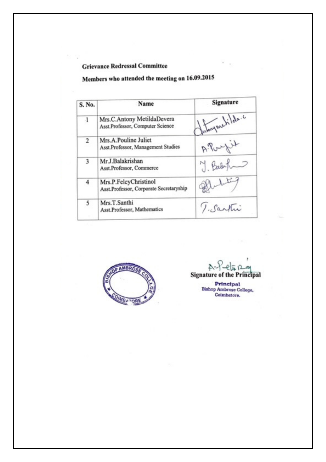#### **Grievance Redressal Committee**

# Members who attended the meeting on 16.09.2015

| S. No. | Name                                                             | Signature      |
|--------|------------------------------------------------------------------|----------------|
| Л      | Mrs.C.Antony MetildaDevera<br>Asst.Professor, Computer Science   | Interpretida.c |
| 2      | Mrs.A.Pouline Juliet<br>Asst.Professor, Management Studies       | A.Porpet       |
| 3      | Mr.J.Balakrishan<br>Asst.Professor, Commerce                     | 7. Barbyton    |
| 4      | Mrs.P.FelcyChristinol<br>Asst.Professor, Corporate Secretaryship | liting         |
| 5      | Mrs.T.Santhi<br>Asst.Professor, Mathematics                      | T. Santui      |



 $A -$ もじひ **Signature of the Principal** 

Principal Bishop Ambrose College,<br>Coimbatore.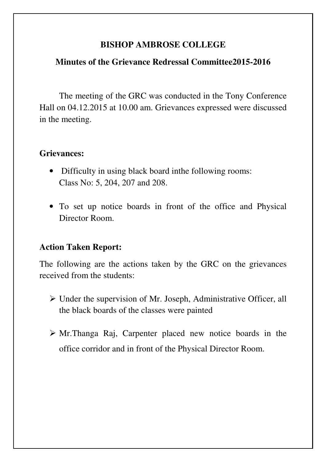#### **BISHOP AMBROSE COLLEGE**

#### **Minutes of the Grievance Redressal Committee2015-2016**

The meeting of the GRC was conducted in the Tony Conference Hall on 04.12.2015 at 10.00 am. Grievances expressed were discussed in the meeting.

#### **Grievances:**

- Difficulty in using black board in the following rooms: Class No: 5, 204, 207 and 208.
- To set up notice boards in front of the office and Physical Director Room.

### **Action Taken Report:**

The following are the actions taken by the GRC on the grievances received from the students:

- $\triangleright$  Under the supervision of Mr. Joseph, Administrative Officer, all the black boards of the classes were painted
- $\triangleright$  Mr. Thanga Raj, Carpenter placed new notice boards in the office corridor and in front of the Physical Director Room.